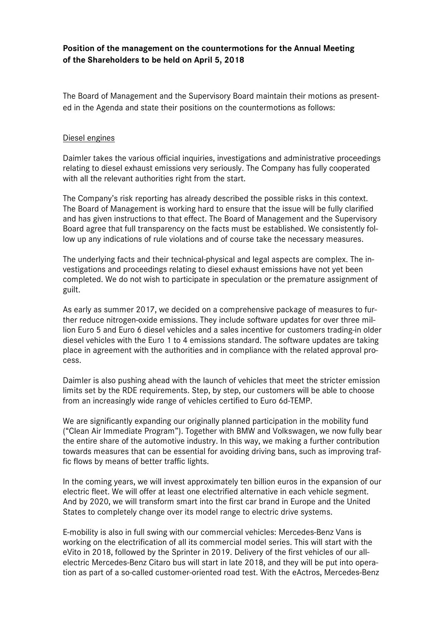# **Position of the management on the countermotions for the Annual Meeting of the Shareholders to be held on April 5, 2018**

The Board of Management and the Supervisory Board maintain their motions as presented in the Agenda and state their positions on the countermotions as follows:

### Diesel engines

Daimler takes the various official inquiries, investigations and administrative proceedings relating to diesel exhaust emissions very seriously. The Company has fully cooperated with all the relevant authorities right from the start.

The Company's risk reporting has already described the possible risks in this context. The Board of Management is working hard to ensure that the issue will be fully clarified and has given instructions to that effect. The Board of Management and the Supervisory Board agree that full transparency on the facts must be established. We consistently follow up any indications of rule violations and of course take the necessary measures.

The underlying facts and their technical-physical and legal aspects are complex. The investigations and proceedings relating to diesel exhaust emissions have not yet been completed. We do not wish to participate in speculation or the premature assignment of guilt.

As early as summer 2017, we decided on a comprehensive package of measures to further reduce nitrogen-oxide emissions. They include software updates for over three million Euro 5 and Euro 6 diesel vehicles and a sales incentive for customers trading-in older diesel vehicles with the Euro 1 to 4 emissions standard. The software updates are taking place in agreement with the authorities and in compliance with the related approval process.

Daimler is also pushing ahead with the launch of vehicles that meet the stricter emission limits set by the RDE requirements. Step, by step, our customers will be able to choose from an increasingly wide range of vehicles certified to Euro 6d-TEMP.

We are significantly expanding our originally planned participation in the mobility fund ("Clean Air Immediate Program"). Together with BMW and Volkswagen, we now fully bear the entire share of the automotive industry. In this way, we making a further contribution towards measures that can be essential for avoiding driving bans, such as improving traffic flows by means of better traffic lights.

In the coming years, we will invest approximately ten billion euros in the expansion of our electric fleet. We will offer at least one electrified alternative in each vehicle segment. And by 2020, we will transform smart into the first car brand in Europe and the United States to completely change over its model range to electric drive systems.

E-mobility is also in full swing with our commercial vehicles: Mercedes-Benz Vans is working on the electrification of all its commercial model series. This will start with the eVito in 2018, followed by the Sprinter in 2019. Delivery of the first vehicles of our allelectric Mercedes-Benz Citaro bus will start in late 2018, and they will be put into operation as part of a so-called customer-oriented road test. With the eActros, Mercedes-Benz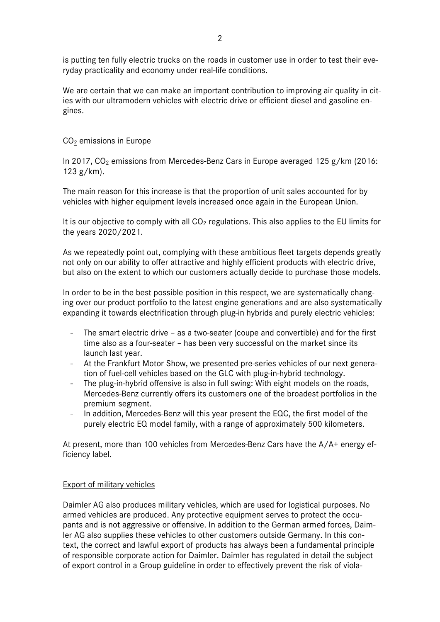is putting ten fully electric trucks on the roads in customer use in order to test their everyday practicality and economy under real-life conditions.

We are certain that we can make an important contribution to improving air quality in cities with our ultramodern vehicles with electric drive or efficient diesel and gasoline engines.

## CO2 emissions in Europe

In 2017,  $CO<sub>2</sub>$  emissions from Mercedes-Benz Cars in Europe averaged 125 g/km (2016: 123 g/km).

The main reason for this increase is that the proportion of unit sales accounted for by vehicles with higher equipment levels increased once again in the European Union.

It is our objective to comply with all  $CO<sub>2</sub>$  regulations. This also applies to the EU limits for the years 2020/2021.

As we repeatedly point out, complying with these ambitious fleet targets depends greatly not only on our ability to offer attractive and highly efficient products with electric drive, but also on the extent to which our customers actually decide to purchase those models.

In order to be in the best possible position in this respect, we are systematically changing over our product portfolio to the latest engine generations and are also systematically expanding it towards electrification through plug-in hybrids and purely electric vehicles:

- The smart electric drive as a two-seater (coupe and convertible) and for the first time also as a four-seater – has been very successful on the market since its launch last year.
- At the Frankfurt Motor Show, we presented pre-series vehicles of our next generation of fuel-cell vehicles based on the GLC with plug-in-hybrid technology.
- The plug-in-hybrid offensive is also in full swing: With eight models on the roads, Mercedes-Benz currently offers its customers one of the broadest portfolios in the premium segment.
- In addition, Mercedes-Benz will this year present the EQC, the first model of the purely electric EQ model family, with a range of approximately 500 kilometers.

At present, more than 100 vehicles from Mercedes-Benz Cars have the A/A+ energy efficiency label.

### Export of military vehicles

Daimler AG also produces military vehicles, which are used for logistical purposes. No armed vehicles are produced. Any protective equipment serves to protect the occupants and is not aggressive or offensive. In addition to the German armed forces, Daimler AG also supplies these vehicles to other customers outside Germany. In this context, the correct and lawful export of products has always been a fundamental principle of responsible corporate action for Daimler. Daimler has regulated in detail the subject of export control in a Group guideline in order to effectively prevent the risk of viola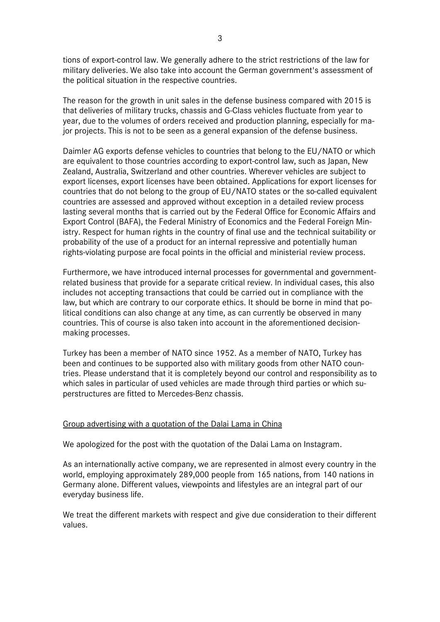tions of export-control law. We generally adhere to the strict restrictions of the law for military deliveries. We also take into account the German government's assessment of the political situation in the respective countries.

The reason for the growth in unit sales in the defense business compared with 2015 is that deliveries of military trucks, chassis and G-Class vehicles fluctuate from year to year, due to the volumes of orders received and production planning, especially for major projects. This is not to be seen as a general expansion of the defense business.

Daimler AG exports defense vehicles to countries that belong to the EU/NATO or which are equivalent to those countries according to export-control law, such as Japan, New Zealand, Australia, Switzerland and other countries. Wherever vehicles are subject to export licenses, export licenses have been obtained. Applications for export licenses for countries that do not belong to the group of EU/NATO states or the so-called equivalent countries are assessed and approved without exception in a detailed review process lasting several months that is carried out by the Federal Office for Economic Affairs and Export Control (BAFA), the Federal Ministry of Economics and the Federal Foreign Ministry. Respect for human rights in the country of final use and the technical suitability or probability of the use of a product for an internal repressive and potentially human rights-violating purpose are focal points in the official and ministerial review process.

Furthermore, we have introduced internal processes for governmental and governmentrelated business that provide for a separate critical review. In individual cases, this also includes not accepting transactions that could be carried out in compliance with the law, but which are contrary to our corporate ethics. It should be borne in mind that political conditions can also change at any time, as can currently be observed in many countries. This of course is also taken into account in the aforementioned decisionmaking processes.

Turkey has been a member of NATO since 1952. As a member of NATO, Turkey has been and continues to be supported also with military goods from other NATO countries. Please understand that it is completely beyond our control and responsibility as to which sales in particular of used vehicles are made through third parties or which superstructures are fitted to Mercedes-Benz chassis.

### Group advertising with a quotation of the Dalai Lama in China

We apologized for the post with the quotation of the Dalai Lama on Instagram.

As an internationally active company, we are represented in almost every country in the world, employing approximately 289,000 people from 165 nations, from 140 nations in Germany alone. Different values, viewpoints and lifestyles are an integral part of our everyday business life.

We treat the different markets with respect and give due consideration to their different values.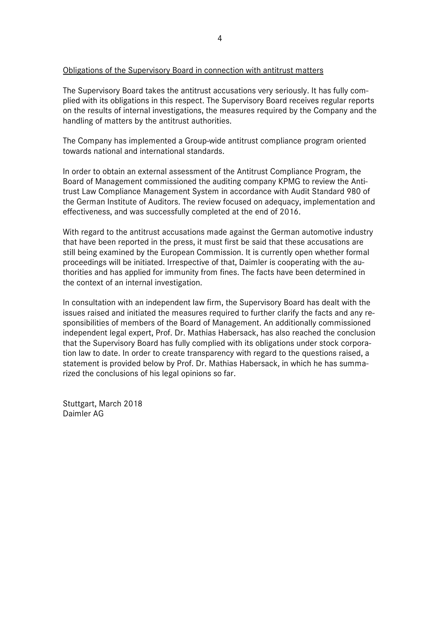### Obligations of the Supervisory Board in connection with antitrust matters

The Supervisory Board takes the antitrust accusations very seriously. It has fully complied with its obligations in this respect. The Supervisory Board receives regular reports on the results of internal investigations, the measures required by the Company and the handling of matters by the antitrust authorities.

The Company has implemented a Group-wide antitrust compliance program oriented towards national and international standards.

In order to obtain an external assessment of the Antitrust Compliance Program, the Board of Management commissioned the auditing company KPMG to review the Antitrust Law Compliance Management System in accordance with Audit Standard 980 of the German Institute of Auditors. The review focused on adequacy, implementation and effectiveness, and was successfully completed at the end of 2016.

With regard to the antitrust accusations made against the German automotive industry that have been reported in the press, it must first be said that these accusations are still being examined by the European Commission. It is currently open whether formal proceedings will be initiated. Irrespective of that, Daimler is cooperating with the authorities and has applied for immunity from fines. The facts have been determined in the context of an internal investigation.

In consultation with an independent law firm, the Supervisory Board has dealt with the issues raised and initiated the measures required to further clarify the facts and any responsibilities of members of the Board of Management. An additionally commissioned independent legal expert, Prof. Dr. Mathias Habersack, has also reached the conclusion that the Supervisory Board has fully complied with its obligations under stock corporation law to date. In order to create transparency with regard to the questions raised, a statement is provided below by Prof. Dr. Mathias Habersack, in which he has summarized the conclusions of his legal opinions so far.

Stuttgart, March 2018 Daimler AG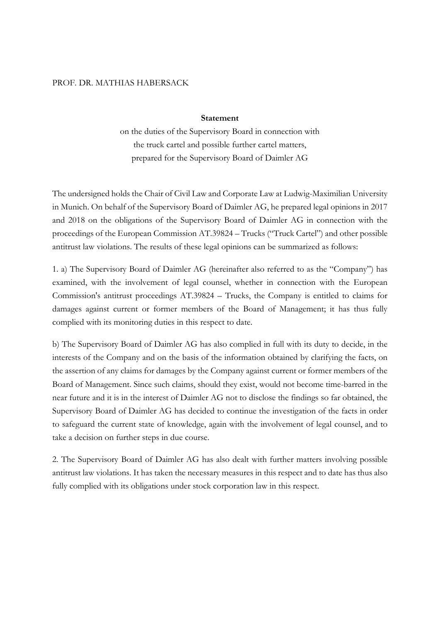#### PROF. DR. MATHIAS HABERSACK

#### **Statement**

on the duties of the Supervisory Board in connection with the truck cartel and possible further cartel matters, prepared for the Supervisory Board of Daimler AG

The undersigned holds the Chair of Civil Law and Corporate Law at Ludwig-Maximilian University in Munich. On behalf of the Supervisory Board of Daimler AG, he prepared legal opinions in 2017 and 2018 on the obligations of the Supervisory Board of Daimler AG in connection with the proceedings of the European Commission AT.39824 – Trucks ("Truck Cartel") and other possible antitrust law violations. The results of these legal opinions can be summarized as follows:

1. a) The Supervisory Board of Daimler AG (hereinafter also referred to as the "Company") has examined, with the involvement of legal counsel, whether in connection with the European Commission's antitrust proceedings AT.39824 – Trucks, the Company is entitled to claims for damages against current or former members of the Board of Management; it has thus fully complied with its monitoring duties in this respect to date.

b) The Supervisory Board of Daimler AG has also complied in full with its duty to decide, in the interests of the Company and on the basis of the information obtained by clarifying the facts, on the assertion of any claims for damages by the Company against current or former members of the Board of Management. Since such claims, should they exist, would not become time-barred in the near future and it is in the interest of Daimler AG not to disclose the findings so far obtained, the Supervisory Board of Daimler AG has decided to continue the investigation of the facts in order to safeguard the current state of knowledge, again with the involvement of legal counsel, and to take a decision on further steps in due course.

2. The Supervisory Board of Daimler AG has also dealt with further matters involving possible antitrust law violations. It has taken the necessary measures in this respect and to date has thus also fully complied with its obligations under stock corporation law in this respect.